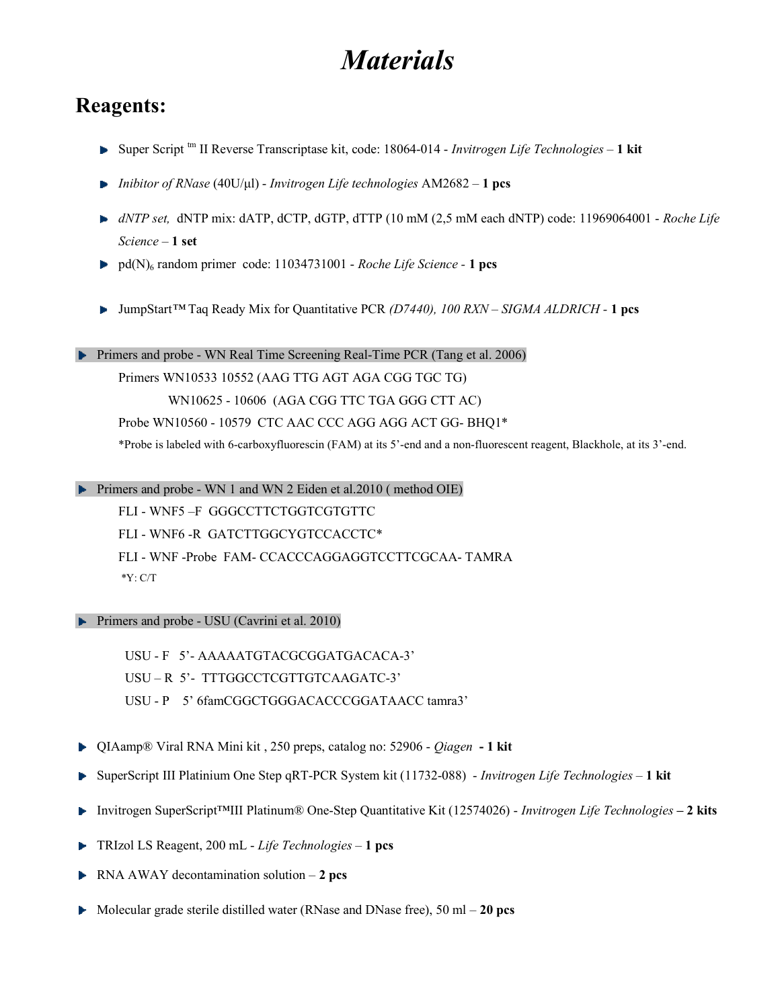# **Materials**

#### Reagents:

- $\triangleright$  Super Script <sup>tm</sup> II Reverse Transcriptase kit, code: 18064-014  *Invitrogen Life Technologies* 1 kit
- **Inibitor of RNase (40U/μl)** Invitrogen Life technologies  $AM2682 1$  pcs
- $\blacktriangleright$  dNTP set, dNTP mix: dATP, dCTP, dGTP, dTTP (10 mM (2,5 mM each dNTP) code: 11969064001 Roche Life Science – 1 set
- $\blacktriangleright$  pd(N)<sub>6</sub> random primer code: 11034731001 Roche Life Science 1 pcs
- $\blacktriangleright$  JumpStart<sup>™</sup> Taq Ready Mix for Quantitative PCR (D7440), 100 RXN SIGMA ALDRICH 1 pcs

Primers and probe - WN Real Time Screening Real-Time PCR (Tang et al. 2006)

Primers WN10533 10552 (AAG TTG AGT AGA CGG TGC TG) WN10625 - 10606 (AGA CGG TTC TGA GGG CTT AC) Probe WN10560 - 10579 CTC AAC CCC AGG AGG ACT GG- BHQ1\* \*Probe is labeled with 6-carboxyfluorescin (FAM) at its 5'-end and a non-fluorescent reagent, Blackhole, at its 3'-end.

Primers and probe - WN 1 and WN 2 Eiden et al.2010 (method OIE)

FLI - WNF5 –F GGGCCTTCTGGTCGTGTTC

FLI - WNF6 -R GATCTTGGCYGTCCACCTC\*

FLI - WNF -Probe FAM- CCACCCAGGAGGTCCTTCGCAA- TAMRA \*Y: C/T

**Primers and probe - USU (Cavrini et al. 2010)** 

 USU - F 5'- AAAAATGTACGCGGATGACACA-3' USU – R 5'- TTTGGCCTCGTTGTCAAGATC-3' USU - P 5' 6famCGGCTGGGACACCCGGATAACC tamra3'

- ▶ QIAamp® Viral RNA Mini kit, 250 preps, catalog no: 52906 Qiagen 1 kit
- SuperScript III Platinium One Step qRT-PCR System kit (11732-088) Invitrogen Life Technologies 1 kit
- Invitrogen SuperScript™III Platinum® One-Step Quantitative Kit (12574026) Invitrogen Life Technologies 2 kits
- **TRIzol LS Reagent, 200 mL** Life Technologies  $-1$  pcs
- $\blacktriangleright$  RNA AWAY decontamination solution 2 pcs
- $\blacktriangleright$  Molecular grade sterile distilled water (RNase and DNase free), 50 ml 20 pcs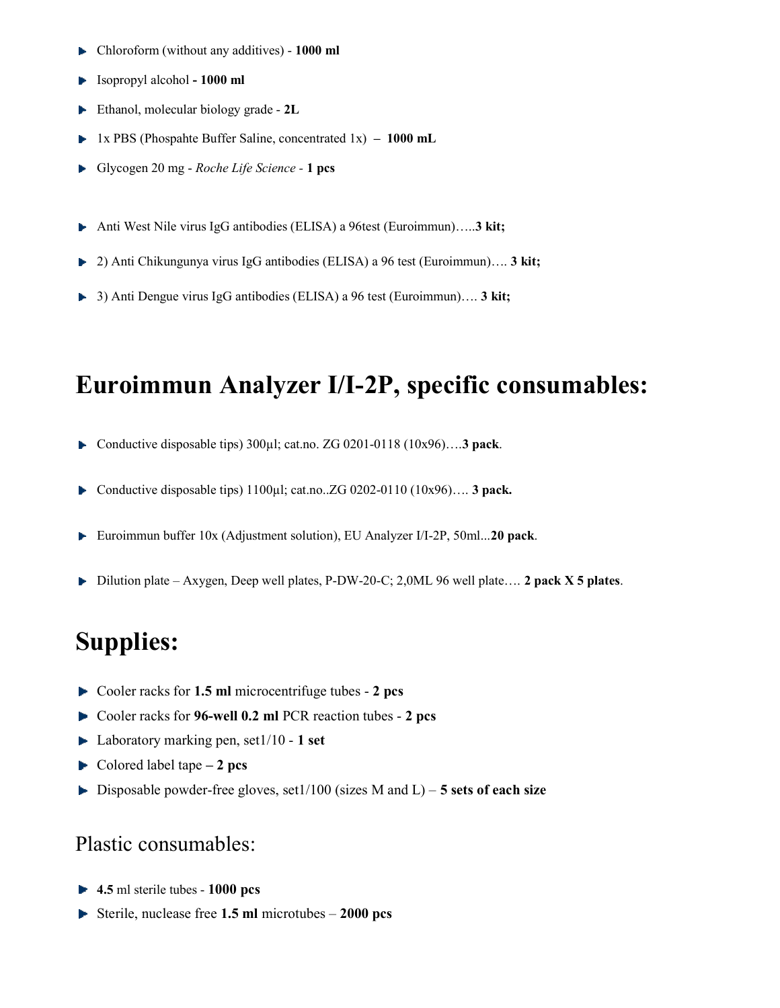- Chloroform (without any additives) 1000 ml
- $\blacktriangleright$  Isopropyl alcohol 1000 ml
- Ethanol, molecular biology grade 2L
- 1x PBS (Phospahte Buffer Saline, concentrated  $1x$ ) 1000 mL Þ.
- Glycogen 20 mg Roche Life Science 1 pcs
- ► Anti West Nile virus IgG antibodies (ELISA) a 96test (Euroimmun).....3 kit;
- 2) Anti Chikungunya virus IgG antibodies (ELISA) a 96 test (Euroimmun).... 3 kit;
- 3) Anti Dengue virus IgG antibodies (ELISA) a 96 test (Euroimmun)…. 3 kit;

### Euroimmun Analyzer I/I-2P, specific consumables:

- Conductive disposable tips) 300µl; cat.no. ZG 0201-0118 (10x96)….3 pack. þ.
- Conductive disposable tips)  $1100\mu l$ ; cat.no..ZG 0202-0110 (10x96).... 3 pack.
- Euroimmun buffer 10x (Adjustment solution), EU Analyzer I/I-2P, 50ml...20 pack. Þ.
- þ. Dilution plate – Axygen, Deep well plates, P-DW-20-C; 2,0ML 96 well plate…. 2 pack X 5 plates.

## Supplies:

- $\triangleright$  Cooler racks for 1.5 ml microcentrifuge tubes 2 pcs
- Cooler racks for 96-well 0.2 ml PCR reaction tubes 2 pcs
- $\blacktriangleright$  Laboratory marking pen, set1/10 1 set
- $\blacktriangleright$  Colored label tape 2 pcs
- $\blacktriangleright$  Disposable powder-free gloves, set1/100 (sizes M and L) 5 sets of each size

#### Plastic consumables:

- $\blacktriangleright$  4.5 ml sterile tubes 1000 pcs
- Sterile, nuclease free 1.5 ml microtubes  $-2000$  pcs